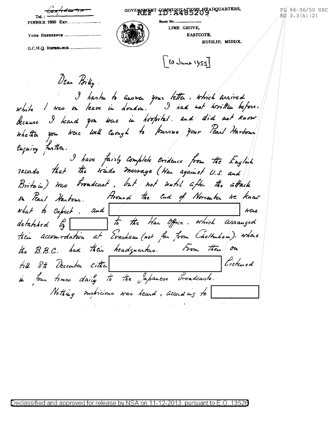| GOVERWENT COMMUNICATED SHEADQUARTERS, | PI 86-36/50 USC<br>/ÉŐ 3.3(h)(2) |
|---------------------------------------|----------------------------------|
|                                       |                                  |
| LIME GROVE.                           |                                  |
|                                       |                                  |

| LIME GROVE,<br>EASTCOTE.<br>RUISLIP, MIDDX.<br>$[6 \text{ June } 1955]$<br>Vear Billy<br>orbite l'oras un leave in dondon. Il had not written before.<br>I had not written before.<br>because I heard you were in hospital. and did not know<br>Euguing further.<br>I have fairly Complete evidence from the English<br>records that the trinds message (War against U.S. and<br>Britain) was broadcast, but not until after the attack |
|-----------------------------------------------------------------------------------------------------------------------------------------------------------------------------------------------------------------------------------------------------------------------------------------------------------------------------------------------------------------------------------------------------------------------------------------|
|                                                                                                                                                                                                                                                                                                                                                                                                                                         |
|                                                                                                                                                                                                                                                                                                                                                                                                                                         |
|                                                                                                                                                                                                                                                                                                                                                                                                                                         |
|                                                                                                                                                                                                                                                                                                                                                                                                                                         |
|                                                                                                                                                                                                                                                                                                                                                                                                                                         |
|                                                                                                                                                                                                                                                                                                                                                                                                                                         |
|                                                                                                                                                                                                                                                                                                                                                                                                                                         |
|                                                                                                                                                                                                                                                                                                                                                                                                                                         |
|                                                                                                                                                                                                                                                                                                                                                                                                                                         |
|                                                                                                                                                                                                                                                                                                                                                                                                                                         |
|                                                                                                                                                                                                                                                                                                                                                                                                                                         |
|                                                                                                                                                                                                                                                                                                                                                                                                                                         |
|                                                                                                                                                                                                                                                                                                                                                                                                                                         |
|                                                                                                                                                                                                                                                                                                                                                                                                                                         |
|                                                                                                                                                                                                                                                                                                                                                                                                                                         |
|                                                                                                                                                                                                                                                                                                                                                                                                                                         |
|                                                                                                                                                                                                                                                                                                                                                                                                                                         |
|                                                                                                                                                                                                                                                                                                                                                                                                                                         |
|                                                                                                                                                                                                                                                                                                                                                                                                                                         |
|                                                                                                                                                                                                                                                                                                                                                                                                                                         |
|                                                                                                                                                                                                                                                                                                                                                                                                                                         |
|                                                                                                                                                                                                                                                                                                                                                                                                                                         |
|                                                                                                                                                                                                                                                                                                                                                                                                                                         |
|                                                                                                                                                                                                                                                                                                                                                                                                                                         |
|                                                                                                                                                                                                                                                                                                                                                                                                                                         |
| or Pearl Harbour. Hound the End of November we knew                                                                                                                                                                                                                                                                                                                                                                                     |
| what to expect. and I were<br>detatated by to the Han Office. which arranged                                                                                                                                                                                                                                                                                                                                                            |
|                                                                                                                                                                                                                                                                                                                                                                                                                                         |
|                                                                                                                                                                                                                                                                                                                                                                                                                                         |
|                                                                                                                                                                                                                                                                                                                                                                                                                                         |
| tien accomodation at Evesham (not for from Cheltuham). where                                                                                                                                                                                                                                                                                                                                                                            |
|                                                                                                                                                                                                                                                                                                                                                                                                                                         |
| the B.B.C. had their headquarters. From their on                                                                                                                                                                                                                                                                                                                                                                                        |
|                                                                                                                                                                                                                                                                                                                                                                                                                                         |
| Listued<br>till 8th December citter                                                                                                                                                                                                                                                                                                                                                                                                     |
|                                                                                                                                                                                                                                                                                                                                                                                                                                         |
| in four times daily to the Japanese broadcasts.                                                                                                                                                                                                                                                                                                                                                                                         |
|                                                                                                                                                                                                                                                                                                                                                                                                                                         |
| Nothing mobicions was heard, according to                                                                                                                                                                                                                                                                                                                                                                                               |
|                                                                                                                                                                                                                                                                                                                                                                                                                                         |
|                                                                                                                                                                                                                                                                                                                                                                                                                                         |

 $4da$  to  $+$ 

 $\mathcal{L}$ on

 $Tei.$ :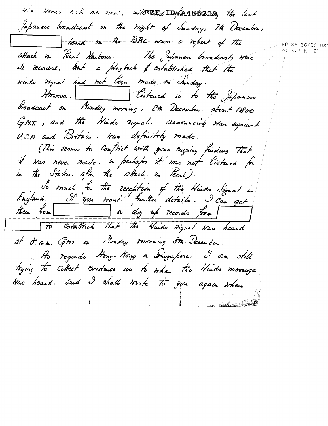the Nords with the now. HAREEd ID \$ 4852029 the last Japanese broadcast on the night of Sunday, 7th December, heard on the BBC news a report of the PI 86-36/50 US  $E\phi$  3.3(h)(2) attack in Pearl Harbour. The Japanese broadcasts were all recorded. aut a playback of established that the trindo Figual had not been made on Sunday. Howeva. Cistened in to the Japanese broadcast on Monday morning, 8th December. about Oboo GMT., and the Hinds night. Aunouncing Har against U.S.A and Britain, tras definitely made. (This seems to Conflict with your Eugeing funding that it was never made. In perhaps it was not listened for in the States. after the attack on Fearl). So much fa the reception of the Hinds Signal in<br>England. It you would further details. I can get to Cotablish that the Nuids Digual Was heard at S. a.m. GMT on Monday morning 8th. December. Ao regardo Hong-Kong a Singapore. I am still trying to collect cordence as to when the Hinds message Was beard. and I shall write to you again when  $\frac{1}{1}$  . The company of  $\frac{1}{1}$ and the component of the component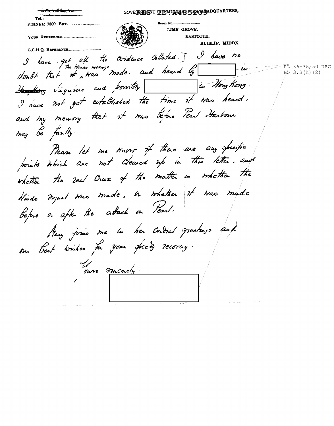GOVEREITNT TUDMUNIGHTS ADQUARTERS Room No..... LIME GROVE, EASTCOTE. RUISLIP, MIDDX. G.C.H.Q. REFERENCE I have got all the Ovidence Collated. I I have no PL 86-36/50 USC -tu EO  $3.3(h)$  (2) Hostag Singarine and poroibly in Hong Kong. I have not get cotablished the time it was heard. and my memory that it was before Pearl Harbour may be faulty. Prease let me know if there are any specific whether the real Crux of the matter is whether the Huido Figual Was made, or whether it was made bofare a after the attack on Pearl. Many jours me in her cordral greetings and su best wishes for your speely recovery. nos micaely.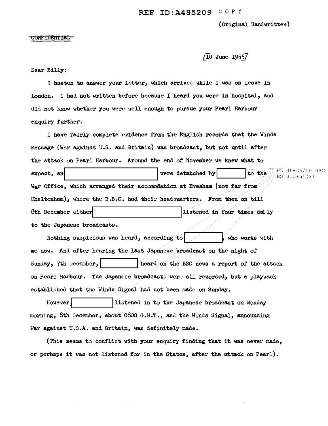(Original Handwritten)

#### <del>CONFIDENTIAL</del>

# $\sqrt{10}$  June 1955 $\overline{7}$

## Dear Billy:

<sup>I</sup>hasten to answer your letter, which arrived while I was on leave in London. I bad not written before because I heard you were in hospital, and did not know whether you were well enough to pursue your Pearl Harbour enquiry further.

I have fairly complete evidence from the English records that the Winds Message (War against U.S. and Britain) was broadcast, but not until after the attack on Pearl Harbour. Around the end of November we knev what to expect, and **I use and I use a line of the U** use to the Line of the Line of the Line of the Line of the Line of the Line of the Line of the Line of the Line of the Line of the Line of the Line of the Line of the Line of t War Office, which arranged their accomodation at Evesham (not far from: Cheltenhem), where the  $B.F.C.$  had their headquarters. From then on till 8th December either **Executed** in four times daily to the Japanese broadcasts. iL 86-36/50 USC  $EO$  3.3 $(h)$  (2)

Nothing suspicious was heard, according to I, who works with me now. And after hearing the last Japanese broadcast on the night of Sunday, 7th Jecember, 1 **I .... Theard on the BBC news a report of the attack** on Pearl Harbour. The Japanese broadcasts were all recorded, but a playback established that the Winds Signal had not been made on Sunday.

However. The listened in to the Japanese broadcast on Monday morning, 8th  $December$ , about  $0800$  G.M.T., and the Winds Signal, announcing War against U.S.A. and Britain, was definitely made.

(This seems to conflict with your enquiry finding that it was never made, or perhaps it was not listened for in the States, after the attack on Pearl).